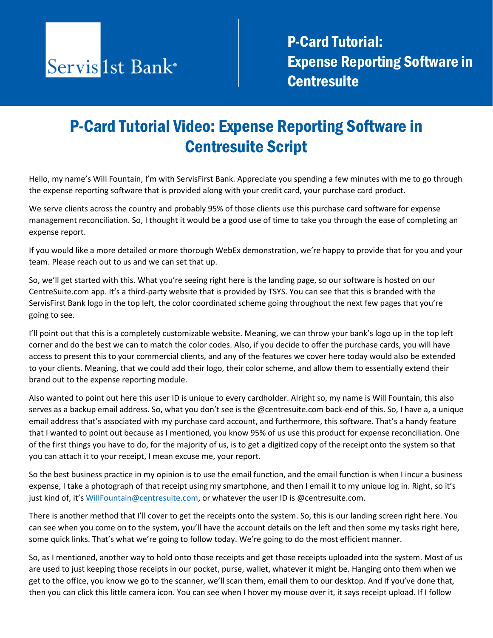

**P-Card Tutorial:** Expense Reporting Software in **Centresuite** 

## P-Card Tutorial Video: Expense Reporting Software in Centresuite Script

Hello, my name's Will Fountain, I'm with ServisFirst Bank. Appreciate you spending a few minutes with me to go through the expense reporting software that is provided along with your credit card, your purchase card product.

We serve clients across the country and probably 95% of those clients use this purchase card software for expense management reconciliation. So, I thought it would be a good use of time to take you through the ease of completing an expense report.

If you would like a more detailed or more thorough WebEx demonstration, we're happy to provide that for you and your team. Please reach out to us and we can set that up.

So, we'll get started with this. What you're seeing right here is the landing page, so our software is hosted on our CentreSuite.com app. It's a third-party website that is provided by TSYS. You can see that this is branded with the ServisFirst Bank logo in the top left, the color coordinated scheme going throughout the next few pages that you're going to see.

I'll point out that this is a completely customizable website. Meaning, we can throw your bank's logo up in the top left corner and do the best we can to match the color codes. Also, if you decide to offer the purchase cards, you will have access to present this to your commercial clients, and any of the features we cover here today would also be extended to your clients. Meaning, that we could add their logo, their color scheme, and allow them to essentially extend their brand out to the expense reporting module.

Also wanted to point out here this user ID is unique to every cardholder. Alright so, my name is Will Fountain, this also serves as a backup email address. So, what you don't see is the @centresuite.com back-end of this. So, I have a, a unique email address that's associated with my purchase card account, and furthermore, this software. That's a handy feature that I wanted to point out because as I mentioned, you know 95% of us use this product for expense reconciliation. One of the first things you have to do, for the majority of us, is to get a digitized copy of the receipt onto the system so that you can attach it to your receipt, I mean excuse me, your report.

So the best business practice in my opinion is to use the email function, and the email function is when I incur a business expense, I take a photograph of that receipt using my smartphone, and then I email it to my unique log in. Right, so it's just kind of, it'[s WillFountain@centresuite.com,](mailto:WillFountain@centresuite.com) or whatever the user ID is @centresuite.com.

There is another method that I'll cover to get the receipts onto the system. So, this is our landing screen right here. You can see when you come on to the system, you'll have the account details on the left and then some my tasks right here, some quick links. That's what we're going to follow today. We're going to do the most efficient manner.

So, as I mentioned, another way to hold onto those receipts and get those receipts uploaded into the system. Most of us are used to just keeping those receipts in our pocket, purse, wallet, whatever it might be. Hanging onto them when we get to the office, you know we go to the scanner, we'll scan them, email them to our desktop. And if you've done that, then you can click this little camera icon. You can see when I hover my mouse over it, it says receipt upload. If I follow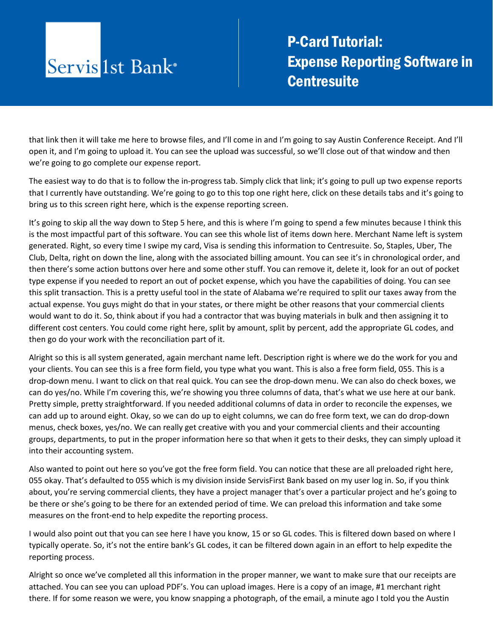## Servis 1st Bank<sup>®</sup>

**P-Card Tutorial:** Expense Reporting Software in **Centresuite** 

that link then it will take me here to browse files, and I'll come in and I'm going to say Austin Conference Receipt. And I'll open it, and I'm going to upload it. You can see the upload was successful, so we'll close out of that window and then we're going to go complete our expense report.

The easiest way to do that is to follow the in-progress tab. Simply click that link; it's going to pull up two expense reports that I currently have outstanding. We're going to go to this top one right here, click on these details tabs and it's going to bring us to this screen right here, which is the expense reporting screen.

It's going to skip all the way down to Step 5 here, and this is where I'm going to spend a few minutes because I think this is the most impactful part of this software. You can see this whole list of items down here. Merchant Name left is system generated. Right, so every time I swipe my card, Visa is sending this information to Centresuite. So, Staples, Uber, The Club, Delta, right on down the line, along with the associated billing amount. You can see it's in chronological order, and then there's some action buttons over here and some other stuff. You can remove it, delete it, look for an out of pocket type expense if you needed to report an out of pocket expense, which you have the capabilities of doing. You can see this split transaction. This is a pretty useful tool in the state of Alabama we're required to split our taxes away from the actual expense. You guys might do that in your states, or there might be other reasons that your commercial clients would want to do it. So, think about if you had a contractor that was buying materials in bulk and then assigning it to different cost centers. You could come right here, split by amount, split by percent, add the appropriate GL codes, and then go do your work with the reconciliation part of it.

Alright so this is all system generated, again merchant name left. Description right is where we do the work for you and your clients. You can see this is a free form field, you type what you want. This is also a free form field, 055. This is a drop-down menu. I want to click on that real quick. You can see the drop-down menu. We can also do check boxes, we can do yes/no. While I'm covering this, we're showing you three columns of data, that's what we use here at our bank. Pretty simple, pretty straightforward. If you needed additional columns of data in order to reconcile the expenses, we can add up to around eight. Okay, so we can do up to eight columns, we can do free form text, we can do drop-down menus, check boxes, yes/no. We can really get creative with you and your commercial clients and their accounting groups, departments, to put in the proper information here so that when it gets to their desks, they can simply upload it into their accounting system.

Also wanted to point out here so you've got the free form field. You can notice that these are all preloaded right here, 055 okay. That's defaulted to 055 which is my division inside ServisFirst Bank based on my user log in. So, if you think about, you're serving commercial clients, they have a project manager that's over a particular project and he's going to be there or she's going to be there for an extended period of time. We can preload this information and take some measures on the front-end to help expedite the reporting process.

I would also point out that you can see here I have you know, 15 or so GL codes. This is filtered down based on where I typically operate. So, it's not the entire bank's GL codes, it can be filtered down again in an effort to help expedite the reporting process.

Alright so once we've completed all this information in the proper manner, we want to make sure that our receipts are attached. You can see you can upload PDF's. You can upload images. Here is a copy of an image, #1 merchant right there. If for some reason we were, you know snapping a photograph, of the email, a minute ago I told you the Austin